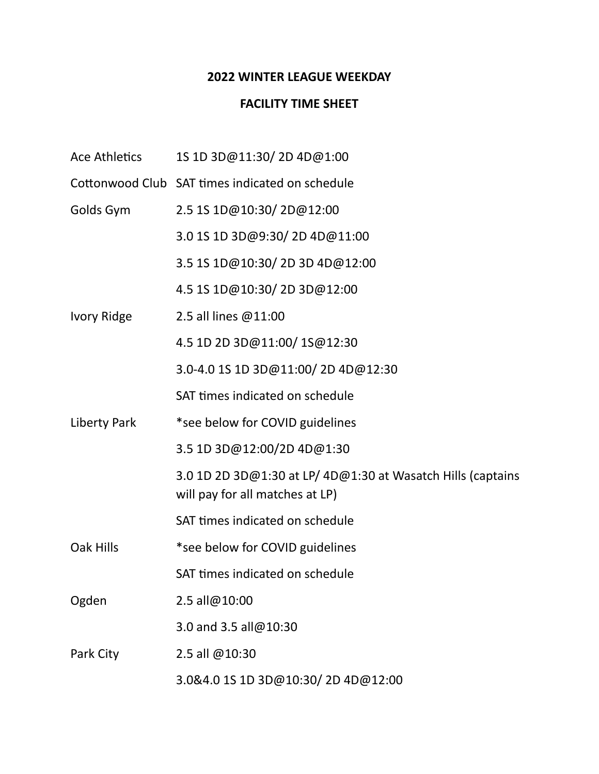## **2022 WINTER LEAGUE WEEKDAY**

## **FACILITY TIME SHEET**

- Ace Athletics 1S 1D 3D@11:30/ 2D 4D@1:00
- Cottonwood Club SAT times indicated on schedule
- Golds Gym 2.5 1S 1D@10:30/ 2D@12:00
	- 3.0 1S 1D 3D@9:30/ 2D 4D@11:00
	- 3.5 1S 1D@10:30/ 2D 3D 4D@12:00
	- 4.5 1S 1D@10:30/ 2D 3D@12:00
- Ivory Ridge 2.5 all lines @11:00
	- 4.5 1D 2D 3D@11:00/ 1S@12:30
	- 3.0-4.0 1S 1D 3D@11:00/ 2D 4D@12:30
	- SAT times indicated on schedule
- Liberty Park \*see below for COVID guidelines
	- 3.5 1D 3D@12:00/2D 4D@1:30
		- 3.0 1D 2D 3D@1:30 at LP/ 4D@1:30 at Wasatch Hills (captains will pay for all matches at LP)
		- SAT times indicated on schedule
- Oak Hills \*see below for COVID guidelines
	- SAT times indicated on schedule
- Ogden 2.5 all@10:00
	- 3.0 and 3.5 all@10:30
- Park City 2.5 all @10:30
	- 3.0&4.0 1S 1D 3D@10:30/ 2D 4D@12:00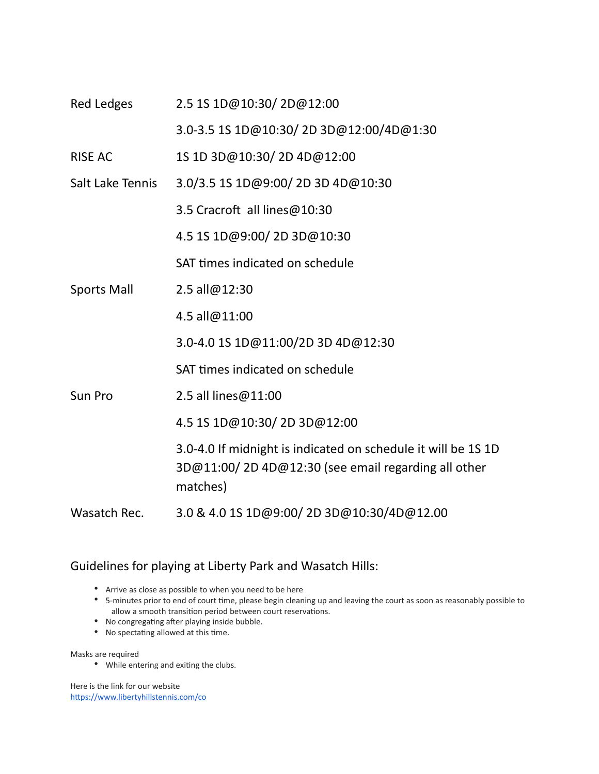| Red Ledges         | 2.5 1S 1D@10:30/2D@12:00                                                                                                        |
|--------------------|---------------------------------------------------------------------------------------------------------------------------------|
|                    | 3.0-3.5 1S 1D@10:30/2D 3D@12:00/4D@1:30                                                                                         |
| <b>RISE AC</b>     | 1S 1D 3D@10:30/2D 4D@12:00                                                                                                      |
| Salt Lake Tennis   | 3.0/3.5 1S 1D@9:00/2D 3D 4D@10:30                                                                                               |
|                    | 3.5 Cracroft all lines@10:30                                                                                                    |
|                    | 4.5 1S 1D@9:00/2D 3D@10:30                                                                                                      |
|                    | SAT times indicated on schedule                                                                                                 |
| <b>Sports Mall</b> | 2.5 all@12:30                                                                                                                   |
|                    | 4.5 all@11:00                                                                                                                   |
|                    | 3.0-4.0 1S 1D@11:00/2D 3D 4D@12:30                                                                                              |
|                    | SAT times indicated on schedule                                                                                                 |
| Sun Pro            | 2.5 all lines@11:00                                                                                                             |
|                    | 4.5 1S 1D@10:30/2D 3D@12:00                                                                                                     |
|                    | 3.0-4.0 If midnight is indicated on schedule it will be 1S 1D<br>3D@11:00/2D4D@12:30 (see email regarding all other<br>matches) |
| Wasatch Rec.       | 3.0 & 4.0 1S 1D@9:00/2D 3D@10:30/4D@12.00                                                                                       |

## Guidelines for playing at Liberty Park and Wasatch Hills:

- Arrive as close as possible to when you need to be here
- 5-minutes prior to end of court time, please begin cleaning up and leaving the court as soon as reasonably possible to allow a smooth transition period between court reservations.
- No congregating after playing inside bubble.
- No spectating allowed at this time.

Masks are required

• While entering and exiting the clubs.

Here is the link for our website <https://www.libertyhillstennis.com/co>